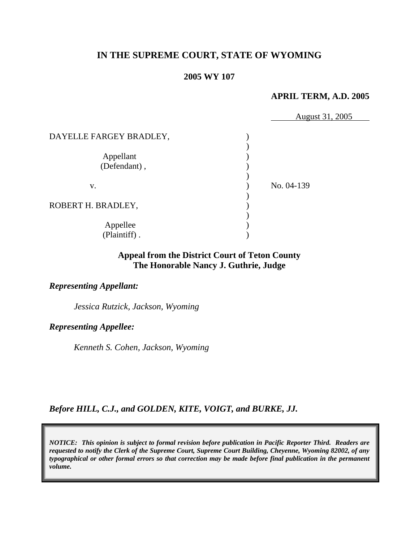# **IN THE SUPREME COURT, STATE OF WYOMING**

### **2005 WY 107**

#### **APRIL TERM, A.D. 2005**

|                         | August 31, 2005 |
|-------------------------|-----------------|
| DAYELLE FARGEY BRADLEY, |                 |
|                         |                 |
| Appellant               |                 |
| (Defendant),            |                 |
|                         |                 |
| V.                      | No. 04-139      |
|                         |                 |
| ROBERT H. BRADLEY,      |                 |
|                         |                 |
| Appellee                |                 |
| (Plaintiff).            |                 |

## **Appeal from the District Court of Teton County The Honorable Nancy J. Guthrie, Judge**

#### *Representing Appellant:*

*Jessica Rutzick, Jackson, Wyoming* 

*Representing Appellee:* 

*Kenneth S. Cohen, Jackson, Wyoming* 

*Before HILL, C.J., and GOLDEN, KITE, VOIGT, and BURKE, JJ.* 

*NOTICE: This opinion is subject to formal revision before publication in Pacific Reporter Third. Readers are requested to notify the Clerk of the Supreme Court, Supreme Court Building, Cheyenne, Wyoming 82002, of any typographical or other formal errors so that correction may be made before final publication in the permanent volume.*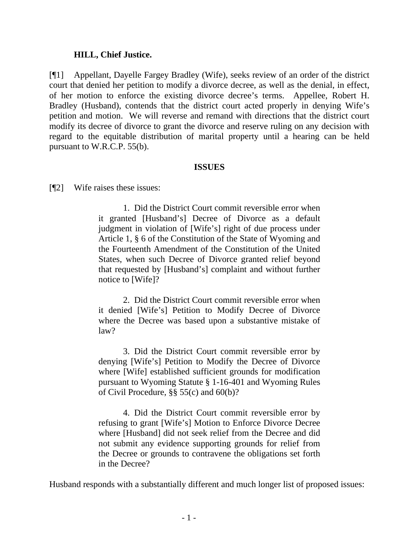### **HILL, Chief Justice.**

[¶1] Appellant, Dayelle Fargey Bradley (Wife), seeks review of an order of the district court that denied her petition to modify a divorce decree, as well as the denial, in effect, of her motion to enforce the existing divorce decree's terms. Appellee, Robert H. Bradley (Husband), contends that the district court acted properly in denying Wife's petition and motion. We will reverse and remand with directions that the district court modify its decree of divorce to grant the divorce and reserve ruling on any decision with regard to the equitable distribution of marital property until a hearing can be held pursuant to W.R.C.P. 55(b).

## **ISSUES**

[¶2] Wife raises these issues:

1. Did the District Court commit reversible error when it granted [Husband's] Decree of Divorce as a default judgment in violation of [Wife's] right of due process under Article 1, § 6 of the Constitution of the State of Wyoming and the Fourteenth Amendment of the Constitution of the United States, when such Decree of Divorce granted relief beyond that requested by [Husband's] complaint and without further notice to [Wife]?

2. Did the District Court commit reversible error when it denied [Wife's] Petition to Modify Decree of Divorce where the Decree was based upon a substantive mistake of law?

3. Did the District Court commit reversible error by denying [Wife's] Petition to Modify the Decree of Divorce where [Wife] established sufficient grounds for modification pursuant to Wyoming Statute § 1-16-401 and Wyoming Rules of Civil Procedure, §§ 55(c) and 60(b)?

4. Did the District Court commit reversible error by refusing to grant [Wife's] Motion to Enforce Divorce Decree where [Husband] did not seek relief from the Decree and did not submit any evidence supporting grounds for relief from the Decree or grounds to contravene the obligations set forth in the Decree?

Husband responds with a substantially different and much longer list of proposed issues: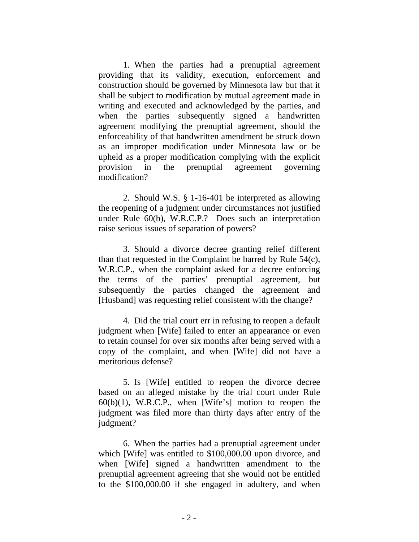1. When the parties had a prenuptial agreement providing that its validity, execution, enforcement and construction should be governed by Minnesota law but that it shall be subject to modification by mutual agreement made in writing and executed and acknowledged by the parties, and when the parties subsequently signed a handwritten agreement modifying the prenuptial agreement, should the enforceability of that handwritten amendment be struck down as an improper modification under Minnesota law or be upheld as a proper modification complying with the explicit provision in the prenuptial agreement governing modification?

2. Should W.S. § 1-16-401 be interpreted as allowing the reopening of a judgment under circumstances not justified under Rule 60(b), W.R.C.P.? Does such an interpretation raise serious issues of separation of powers?

3. Should a divorce decree granting relief different than that requested in the Complaint be barred by Rule 54(c), W.R.C.P., when the complaint asked for a decree enforcing the terms of the parties' prenuptial agreement, but subsequently the parties changed the agreement and [Husband] was requesting relief consistent with the change?

4. Did the trial court err in refusing to reopen a default judgment when [Wife] failed to enter an appearance or even to retain counsel for over six months after being served with a copy of the complaint, and when [Wife] did not have a meritorious defense?

5. Is [Wife] entitled to reopen the divorce decree based on an alleged mistake by the trial court under Rule  $60(b)(1)$ , W.R.C.P., when [Wife's] motion to reopen the judgment was filed more than thirty days after entry of the judgment?

6. When the parties had a prenuptial agreement under which [Wife] was entitled to \$100,000.00 upon divorce, and when [Wife] signed a handwritten amendment to the prenuptial agreement agreeing that she would not be entitled to the \$100,000.00 if she engaged in adultery, and when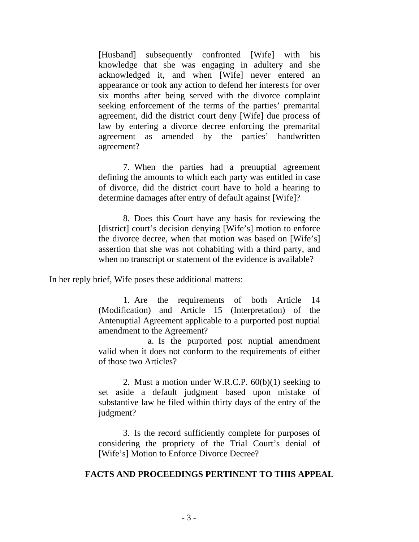[Husband] subsequently confronted [Wife] with his knowledge that she was engaging in adultery and she acknowledged it, and when [Wife] never entered an appearance or took any action to defend her interests for over six months after being served with the divorce complaint seeking enforcement of the terms of the parties' premarital agreement, did the district court deny [Wife] due process of law by entering a divorce decree enforcing the premarital agreement as amended by the parties' handwritten agreement?

7. When the parties had a prenuptial agreement defining the amounts to which each party was entitled in case of divorce, did the district court have to hold a hearing to determine damages after entry of default against [Wife]?

8. Does this Court have any basis for reviewing the [district] court's decision denying [Wife's] motion to enforce the divorce decree, when that motion was based on [Wife's] assertion that she was not cohabiting with a third party, and when no transcript or statement of the evidence is available?

In her reply brief, Wife poses these additional matters:

1. Are the requirements of both Article 14 (Modification) and Article 15 (Interpretation) of the Antenuptial Agreement applicable to a purported post nuptial amendment to the Agreement?

a. Is the purported post nuptial amendment valid when it does not conform to the requirements of either of those two Articles?

2. Must a motion under W.R.C.P. 60(b)(1) seeking to set aside a default judgment based upon mistake of substantive law be filed within thirty days of the entry of the judgment?

3. Is the record sufficiently complete for purposes of considering the propriety of the Trial Court's denial of [Wife's] Motion to Enforce Divorce Decree?

## **FACTS AND PROCEEDINGS PERTINENT TO THIS APPEAL**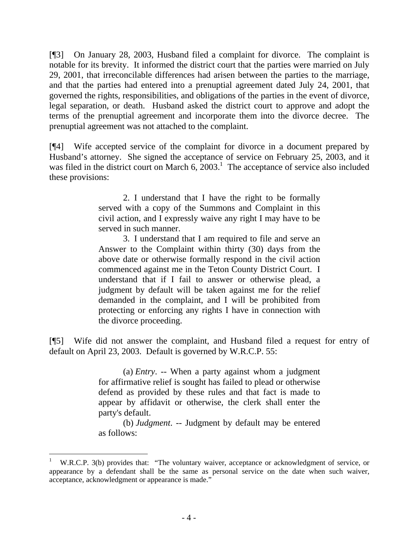[¶3] On January 28, 2003, Husband filed a complaint for divorce. The complaint is notable for its brevity. It informed the district court that the parties were married on July 29, 2001, that irreconcilable differences had arisen between the parties to the marriage, and that the parties had entered into a prenuptial agreement dated July 24, 2001, that governed the rights, responsibilities, and obligations of the parties in the event of divorce, legal separation, or death. Husband asked the district court to approve and adopt the terms of the prenuptial agreement and incorporate them into the divorce decree. The prenuptial agreement was not attached to the complaint.

[¶4] Wife accepted service of the complaint for divorce in a document prepared by Husband's attorney. She signed the acceptance of service on February 25, 2003, and it was filed in the district court on March 6,  $2003<sup>1</sup>$  $2003<sup>1</sup>$  $2003<sup>1</sup>$ . The acceptance of service also included these provisions:

> 2. I understand that I have the right to be formally served with a copy of the Summons and Complaint in this civil action, and I expressly waive any right I may have to be served in such manner.

> 3. I understand that I am required to file and serve an Answer to the Complaint within thirty (30) days from the above date or otherwise formally respond in the civil action commenced against me in the Teton County District Court. I understand that if I fail to answer or otherwise plead, a judgment by default will be taken against me for the relief demanded in the complaint, and I will be prohibited from protecting or enforcing any rights I have in connection with the divorce proceeding.

[¶5] Wife did not answer the complaint, and Husband filed a request for entry of default on April 23, 2003. Default is governed by W.R.C.P. 55:

> (a) *Entry*. -- When a party against whom a judgment for affirmative relief is sought has failed to plead or otherwise defend as provided by these rules and that fact is made to appear by affidavit or otherwise, the clerk shall enter the party's default.

> (b) *Judgment*. -- Judgment by default may be entered as follows:

l

<span id="page-5-0"></span><sup>1</sup> W.R.C.P. 3(b) provides that: "The voluntary waiver, acceptance or acknowledgment of service, or appearance by a defendant shall be the same as personal service on the date when such waiver, acceptance, acknowledgment or appearance is made."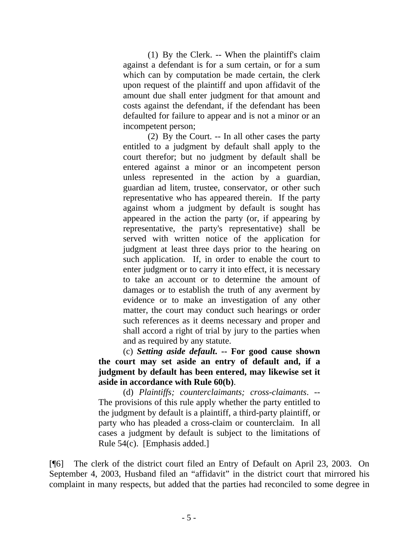(1) By the Clerk. -- When the plaintiff's claim against a defendant is for a sum certain, or for a sum which can by computation be made certain, the clerk upon request of the plaintiff and upon affidavit of the amount due shall enter judgment for that amount and costs against the defendant, if the defendant has been defaulted for failure to appear and is not a minor or an incompetent person;

(2) By the Court. -- In all other cases the party entitled to a judgment by default shall apply to the court therefor; but no judgment by default shall be entered against a minor or an incompetent person unless represented in the action by a guardian, guardian ad litem, trustee, conservator, or other such representative who has appeared therein. If the party against whom a judgment by default is sought has appeared in the action the party (or, if appearing by representative, the party's representative) shall be served with written notice of the application for judgment at least three days prior to the hearing on such application. If, in order to enable the court to enter judgment or to carry it into effect, it is necessary to take an account or to determine the amount of damages or to establish the truth of any averment by evidence or to make an investigation of any other matter, the court may conduct such hearings or order such references as it deems necessary and proper and shall accord a right of trial by jury to the parties when and as required by any statute.

 (c) *Setting aside default***. -- For good cause shown the court may set aside an entry of default and, if a judgment by default has been entered, may likewise set it aside in accordance with Rule 60(b)**.

 (d) *Plaintiffs; counterclaimants; cross-claimants*. -- The provisions of this rule apply whether the party entitled to the judgment by default is a plaintiff, a third-party plaintiff, or party who has pleaded a cross-claim or counterclaim. In all cases a judgment by default is subject to the limitations of Rule 54(c). [Emphasis added.]

[¶6] The clerk of the district court filed an Entry of Default on April 23, 2003. On September 4, 2003, Husband filed an "affidavit" in the district court that mirrored his complaint in many respects, but added that the parties had reconciled to some degree in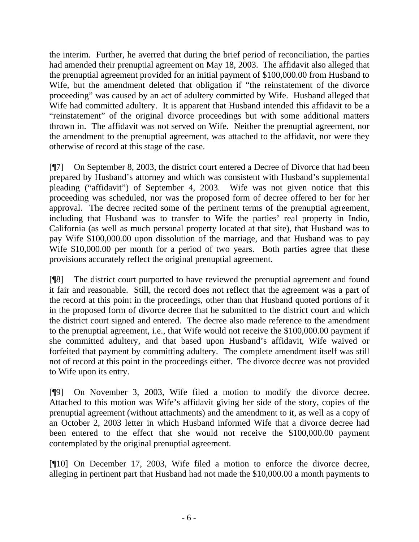the interim. Further, he averred that during the brief period of reconciliation, the parties had amended their prenuptial agreement on May 18, 2003. The affidavit also alleged that the prenuptial agreement provided for an initial payment of \$100,000.00 from Husband to Wife, but the amendment deleted that obligation if "the reinstatement of the divorce proceeding" was caused by an act of adultery committed by Wife. Husband alleged that Wife had committed adultery. It is apparent that Husband intended this affidavit to be a "reinstatement" of the original divorce proceedings but with some additional matters thrown in. The affidavit was not served on Wife. Neither the prenuptial agreement, nor the amendment to the prenuptial agreement, was attached to the affidavit, nor were they otherwise of record at this stage of the case.

[¶7] On September 8, 2003, the district court entered a Decree of Divorce that had been prepared by Husband's attorney and which was consistent with Husband's supplemental pleading ("affidavit") of September 4, 2003. Wife was not given notice that this proceeding was scheduled, nor was the proposed form of decree offered to her for her approval. The decree recited some of the pertinent terms of the prenuptial agreement, including that Husband was to transfer to Wife the parties' real property in Indio, California (as well as much personal property located at that site), that Husband was to pay Wife \$100,000.00 upon dissolution of the marriage, and that Husband was to pay Wife \$10,000.00 per month for a period of two years. Both parties agree that these provisions accurately reflect the original prenuptial agreement.

[¶8] The district court purported to have reviewed the prenuptial agreement and found it fair and reasonable. Still, the record does not reflect that the agreement was a part of the record at this point in the proceedings, other than that Husband quoted portions of it in the proposed form of divorce decree that he submitted to the district court and which the district court signed and entered. The decree also made reference to the amendment to the prenuptial agreement, i.e., that Wife would not receive the \$100,000.00 payment if she committed adultery, and that based upon Husband's affidavit, Wife waived or forfeited that payment by committing adultery. The complete amendment itself was still not of record at this point in the proceedings either. The divorce decree was not provided to Wife upon its entry.

[¶9] On November 3, 2003, Wife filed a motion to modify the divorce decree. Attached to this motion was Wife's affidavit giving her side of the story, copies of the prenuptial agreement (without attachments) and the amendment to it, as well as a copy of an October 2, 2003 letter in which Husband informed Wife that a divorce decree had been entered to the effect that she would not receive the \$100,000.00 payment contemplated by the original prenuptial agreement.

[¶10] On December 17, 2003, Wife filed a motion to enforce the divorce decree, alleging in pertinent part that Husband had not made the \$10,000.00 a month payments to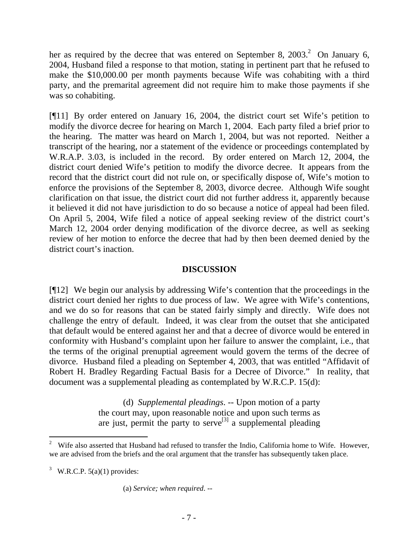her as required by the decree that was entered on September 8, 2003.<sup>2</sup> On January 6, 2004, Husband filed a response to that motion, stating in pertinent part that he refused to make the \$10,000.00 per month payments because Wife was cohabiting with a third party, and the premarital agreement did not require him to make those payments if she was so cohabiting.

[¶11] By order entered on January 16, 2004, the district court set Wife's petition to modify the divorce decree for hearing on March 1, 2004. Each party filed a brief prior to the hearing. The matter was heard on March 1, 2004, but was not reported. Neither a transcript of the hearing, nor a statement of the evidence or proceedings contemplated by W.R.A.P. 3.03, is included in the record. By order entered on March 12, 2004, the district court denied Wife's petition to modify the divorce decree. It appears from the record that the district court did not rule on, or specifically dispose of, Wife's motion to enforce the provisions of the September 8, 2003, divorce decree. Although Wife sought clarification on that issue, the district court did not further address it, apparently because it believed it did not have jurisdiction to do so because a notice of appeal had been filed. On April 5, 2004, Wife filed a notice of appeal seeking review of the district court's March 12, 2004 order denying modification of the divorce decree, as well as seeking review of her motion to enforce the decree that had by then been deemed denied by the district court's inaction.

# **DISCUSSION**

[¶12] We begin our analysis by addressing Wife's contention that the proceedings in the district court denied her rights to due process of law. We agree with Wife's contentions, and we do so for reasons that can be stated fairly simply and directly. Wife does not challenge the entry of default. Indeed, it was clear from the outset that she anticipated that default would be entered against her and that a decree of divorce would be entered in conformity with Husband's complaint upon her failure to answer the complaint, i.e., that the terms of the original prenuptial agreement would govern the terms of the decree of divorce. Husband filed a pleading on September 4, 2003, that was entitled "Affidavit of Robert H. Bradley Regarding Factual Basis for a Decree of Divorce." In reality, that document was a supplemental pleading as contemplated by W.R.C.P. 15(d):

> (d) *Supplemental pleadings*. -- Upon motion of a party the court may, upon reasonable notice and upon such terms as are just, permit the party to serve<sup>[\[3\]](#page-8-1)</sup> a supplemental pleading

<span id="page-8-0"></span><sup>2</sup> Wife also asserted that Husband had refused to transfer the Indio, California home to Wife. However, we are advised from the briefs and the oral argument that the transfer has subsequently taken place.

<span id="page-8-1"></span><sup>&</sup>lt;sup>3</sup> W.R.C.P.  $5(a)(1)$  provides:

<sup>(</sup>a) *Service; when required*. --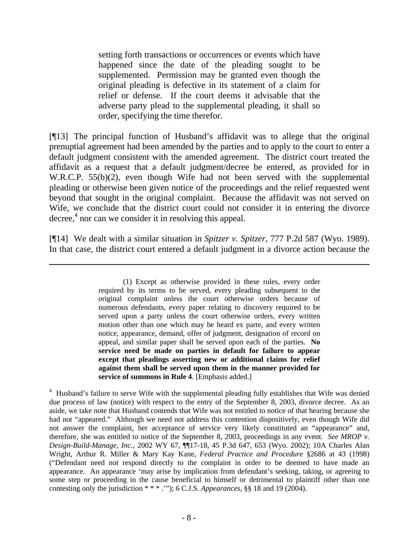setting forth transactions or occurrences or events which have happened since the date of the pleading sought to be supplemented. Permission may be granted even though the original pleading is defective in its statement of a claim for relief or defense. If the court deems it advisable that the adverse party plead to the supplemental pleading, it shall so order, specifying the time therefor.

[¶13] The principal function of Husband's affidavit was to allege that the original prenuptial agreement had been amended by the parties and to apply to the court to enter a default judgment consistent with the amended agreement. The district court treated the affidavit as a request that a default judgment/decree be entered, as provided for in W.R.C.P. 55(b)(2), even though Wife had not been served with the supplemental pleading or otherwise been given notice of the proceedings and the relief requested went beyond that sought in the original complaint. Because the affidavit was not served on Wife, we conclude that the district court could not consider it in entering the divorce decree,<sup>[4](#page-9-0)</sup> nor can we consider it in resolving this appeal.

[¶14] We dealt with a similar situation in *Spitzer v. Spitzer*, 777 P.2d 587 (Wyo. 1989). In that case, the district court entered a default judgment in a divorce action because the

l

(1) Except as otherwise provided in these rules, every order required by its terms to be served, every pleading subsequent to the original complaint unless the court otherwise orders because of numerous defendants, every paper relating to discovery required to be served upon a party unless the court otherwise orders, every written motion other than one which may be heard ex parte, and every written notice, appearance, demand, offer of judgment, designation of record on appeal, and similar paper shall be served upon each of the parties. **No service need be made on parties in default for failure to appear except that pleadings asserting new or additional claims for relief against them shall be served upon them in the manner provided for service of summons in Rule 4**. [Emphasis added.]

<span id="page-9-0"></span><sup>4</sup> Husband's failure to serve Wife with the supplemental pleading fully establishes that Wife was denied due process of law (notice) with respect to the entry of the September 8, 2003, divorce decree. As an aside, we take note that Husband contends that Wife was not entitled to notice of that hearing because she had not "appeared." Although we need not address this contention dispositively, even though Wife did not answer the complaint, her acceptance of service very likely constituted an "appearance" and, therefore, she was entitled to notice of the September 8, 2003, proceedings in any event. *See MROP v. Design-Build-Manage, Inc.*, 2002 WY 67, ¶¶17-18, 45 P.3d 647, 653 (Wyo. 2002); 10A Charles Alan Wright, Arthur R. Miller & Mary Kay Kane, *Federal Practice and Procedure* §2686 at 43 (1998) ("Defendant need not respond directly to the complaint in order to be deemed to have made an appearance. An appearance 'may arise by implication from defendant's seeking, taking, or agreeing to some step or proceeding in the cause beneficial to himself or detrimental to plaintiff other than one contesting only the jurisdiction \* \* \* .'"); 6 C.J.S. *Appearances*, §§ 18 and 19 (2004).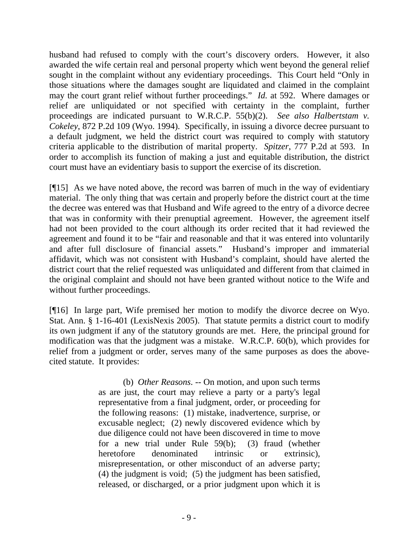husband had refused to comply with the court's discovery orders. However, it also awarded the wife certain real and personal property which went beyond the general relief sought in the complaint without any evidentiary proceedings. This Court held "Only in those situations where the damages sought are liquidated and claimed in the complaint may the court grant relief without further proceedings." *Id.* at 592. Where damages or relief are unliquidated or not specified with certainty in the complaint, further proceedings are indicated pursuant to W.R.C.P. 55(b)(2). *See also Halbertstam v. Cokeley*, 872 P.2d 109 (Wyo. 1994). Specifically, in issuing a divorce decree pursuant to a default judgment, we held the district court was required to comply with statutory criteria applicable to the distribution of marital property. *Spitzer*, 777 P.2d at 593. In order to accomplish its function of making a just and equitable distribution, the district court must have an evidentiary basis to support the exercise of its discretion.

[¶15] As we have noted above, the record was barren of much in the way of evidentiary material. The only thing that was certain and properly before the district court at the time the decree was entered was that Husband and Wife agreed to the entry of a divorce decree that was in conformity with their prenuptial agreement. However, the agreement itself had not been provided to the court although its order recited that it had reviewed the agreement and found it to be "fair and reasonable and that it was entered into voluntarily and after full disclosure of financial assets." Husband's improper and immaterial affidavit, which was not consistent with Husband's complaint, should have alerted the district court that the relief requested was unliquidated and different from that claimed in the original complaint and should not have been granted without notice to the Wife and without further proceedings.

[¶16] In large part, Wife premised her motion to modify the divorce decree on Wyo. Stat. Ann. § 1-16-401 (LexisNexis 2005). That statute permits a district court to modify its own judgment if any of the statutory grounds are met. Here, the principal ground for modification was that the judgment was a mistake. W.R.C.P. 60(b), which provides for relief from a judgment or order, serves many of the same purposes as does the abovecited statute. It provides:

> (b) *Other Reasons*. -- On motion, and upon such terms as are just, the court may relieve a party or a party's legal representative from a final judgment, order, or proceeding for the following reasons: (1) mistake, inadvertence, surprise, or excusable neglect; (2) newly discovered evidence which by due diligence could not have been discovered in time to move for a new trial under Rule 59(b); (3) fraud (whether heretofore denominated intrinsic or extrinsic). misrepresentation, or other misconduct of an adverse party; (4) the judgment is void; (5) the judgment has been satisfied, released, or discharged, or a prior judgment upon which it is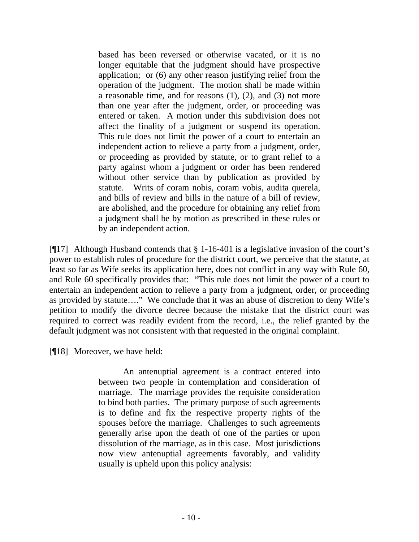based has been reversed or otherwise vacated, or it is no longer equitable that the judgment should have prospective application; or (6) any other reason justifying relief from the operation of the judgment. The motion shall be made within a reasonable time, and for reasons (1), (2), and (3) not more than one year after the judgment, order, or proceeding was entered or taken. A motion under this subdivision does not affect the finality of a judgment or suspend its operation. This rule does not limit the power of a court to entertain an independent action to relieve a party from a judgment, order, or proceeding as provided by statute, or to grant relief to a party against whom a judgment or order has been rendered without other service than by publication as provided by statute. Writs of coram nobis, coram vobis, audita querela, and bills of review and bills in the nature of a bill of review, are abolished, and the procedure for obtaining any relief from a judgment shall be by motion as prescribed in these rules or by an independent action.

[¶17] Although Husband contends that § 1-16-401 is a legislative invasion of the court's power to establish rules of procedure for the district court, we perceive that the statute, at least so far as Wife seeks its application here, does not conflict in any way with Rule 60, and Rule 60 specifically provides that: "This rule does not limit the power of a court to entertain an independent action to relieve a party from a judgment, order, or proceeding as provided by statute…." We conclude that it was an abuse of discretion to deny Wife's petition to modify the divorce decree because the mistake that the district court was required to correct was readily evident from the record, i.e., the relief granted by the default judgment was not consistent with that requested in the original complaint.

[¶18] Moreover, we have held:

An antenuptial agreement is a contract entered into between two people in contemplation and consideration of marriage. The marriage provides the requisite consideration to bind both parties. The primary purpose of such agreements is to define and fix the respective property rights of the spouses before the marriage. Challenges to such agreements generally arise upon the death of one of the parties or upon dissolution of the marriage, as in this case. Most jurisdictions now view antenuptial agreements favorably, and validity usually is upheld upon this policy analysis: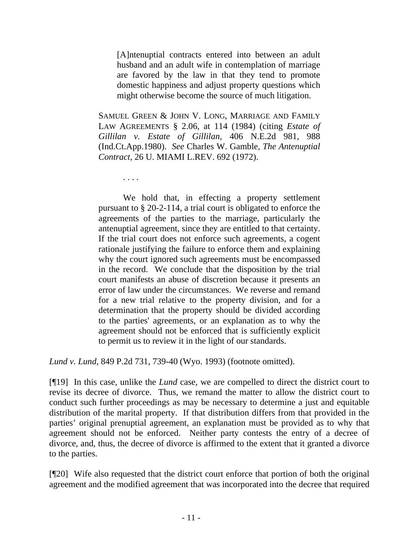[A]ntenuptial contracts entered into between an adult husband and an adult wife in contemplation of marriage are favored by the law in that they tend to promote domestic happiness and adjust property questions which might otherwise become the source of much litigation.

SAMUEL GREEN & JOHN V. LONG, MARRIAGE AND FAMILY LAW AGREEMENTS § 2.06, at 114 (1984) (citing *Estate of Gillilan v. Estate of Gillilan*, 406 N.E.2d 981, 988 (Ind.Ct.App.1980). *See* Charles W. Gamble, *The Antenuptial Contract*, 26 U. MIAMI L.REV. 692 (1972).

We hold that, in effecting a property settlement pursuant to § 20-2-114, a trial court is obligated to enforce the agreements of the parties to the marriage, particularly the antenuptial agreement, since they are entitled to that certainty. If the trial court does not enforce such agreements, a cogent rationale justifying the failure to enforce them and explaining why the court ignored such agreements must be encompassed in the record. We conclude that the disposition by the trial court manifests an abuse of discretion because it presents an error of law under the circumstances. We reverse and remand for a new trial relative to the property division, and for a determination that the property should be divided according to the parties' agreements, or an explanation as to why the agreement should not be enforced that is sufficiently explicit to permit us to review it in the light of our standards.

*Lund v. Lund*, 849 P.2d 731, 739-40 (Wyo. 1993) (footnote omitted).

. . . .

[¶19] In this case, unlike the *Lund* case, we are compelled to direct the district court to revise its decree of divorce. Thus, we remand the matter to allow the district court to conduct such further proceedings as may be necessary to determine a just and equitable distribution of the marital property. If that distribution differs from that provided in the parties' original prenuptial agreement, an explanation must be provided as to why that agreement should not be enforced. Neither party contests the entry of a decree of divorce, and, thus, the decree of divorce is affirmed to the extent that it granted a divorce to the parties.

[¶20] Wife also requested that the district court enforce that portion of both the original agreement and the modified agreement that was incorporated into the decree that required